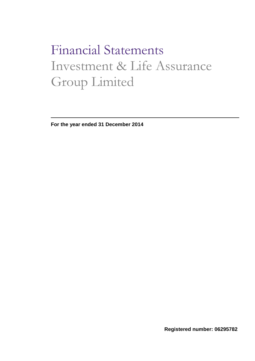# Financial Statements Investment & Life Assurance Group Limited

**For the year ended 31 December 2014**

**Registered number: 06295782**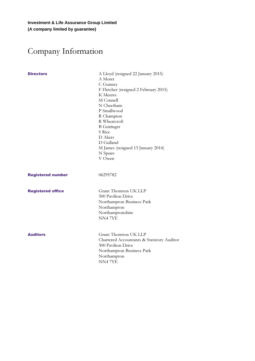## Company Information

| <b>Directors</b>         | A Lloyd (resigned 22 January 2015)<br>A Moret<br>C Gunney<br>F Fletcher (resigned 2 February 2015)<br>K Meeres<br>M Connell<br>N Cheetham<br>P Smallwood<br>R Champion<br>R Wheatcroft<br><b>B</b> Geiringer<br>S Rice<br>D Akers<br>D Gulland<br>M James (resigned 13 January 2014)<br>N Speirs<br>V Owen |
|--------------------------|------------------------------------------------------------------------------------------------------------------------------------------------------------------------------------------------------------------------------------------------------------------------------------------------------------|
| <b>Registered number</b> | 06295782                                                                                                                                                                                                                                                                                                   |
| <b>Registered office</b> | Grant Thornton UK LLP<br>300 Pavilion Drive<br>Northampton Business Park<br>Northampton<br>Northamptonshire<br>NN47YE                                                                                                                                                                                      |
| <b>Auditors</b>          | Grant Thornton UK LLP<br>Chartered Accountants & Statutory Auditor<br>300 Pavilion Drive<br>Northampton Business Park<br>Northampton<br>NN47YE                                                                                                                                                             |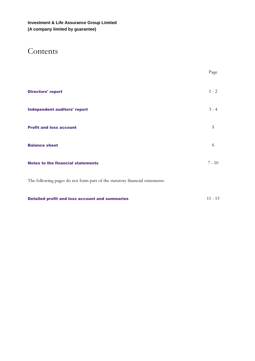## Contents

|                                                                             | Page     |
|-----------------------------------------------------------------------------|----------|
| <b>Directors' report</b>                                                    | $1 - 2$  |
| <b>Independent auditors' report</b>                                         | $3 - 4$  |
| <b>Profit and loss account</b>                                              | 5        |
| <b>Balance sheet</b>                                                        | 6        |
| <b>Notes to the financial statements</b>                                    | $7 - 10$ |
| The following pages do not form part of the statutory financial statements: |          |

| <b>Detailed profit and loss account and summaries</b> | $11 - 13$ |
|-------------------------------------------------------|-----------|
|                                                       |           |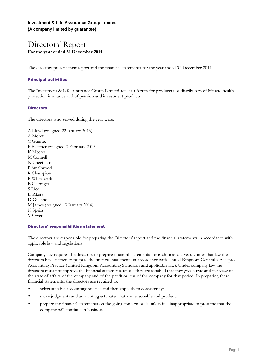### Directors' Report For the year ended 31 December 2014

The directors present their report and the financial statements for the year ended 31 December 2014.

#### Principal activities

The Investment & Life Assurance Group Limited acts as a forum for producers or distributors of life and health protection insurance and of pension and investment products.

#### **Directors**

The directors who served during the year were:

A Lloyd (resigned 22 January 2015) A Moret C Gunney F Fletcher (resigned 2 February 2015) K Meeres M Connell N Cheetham P Smallwood R Champion R Wheatcroft B Geiringer S Rice D Akers D Gulland M James (resigned 13 January 2014) N Speirs V Owen

#### Directors' responsibilities statement

The directors are responsible for preparing the Directors' report and the financial statements in accordance with applicable law and regulations.

Company law requires the directors to prepare financial statements for each financial year. Under that law the directors have elected to prepare the financial statements in accordance with United Kingdom Generally Accepted Accounting Practice (United Kingdom Accounting Standards and applicable law). Under company law the directors must not approve the financial statements unless they are satisfied that they give a true and fair view of the state of affairs of the company and of the profit or loss of the company for that period. In preparing these financial statements, the directors are required to:

- select suitable accounting policies and then apply them consistently;
- make judgments and accounting estimates that are reasonable and prudent;
- prepare the financial statements on the going concern basis unless it is inappropriate to presume that the company will continue in business.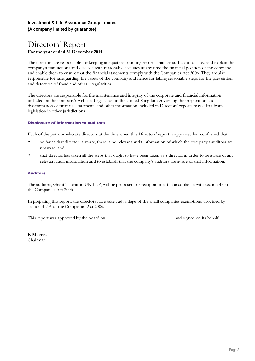### Directors' Report For the year ended 31 December 2014

The directors are responsible for keeping adequate accounting records that are sufficient to show and explain the company's transactions and disclose with reasonable accuracy at any time the financial position of the company and enable them to ensure that the financial statements comply with the Companies Act 2006. They are also responsible for safeguarding the assets of the company and hence for taking reasonable steps for the prevention and detection of fraud and other irregularities.

The directors are responsible for the maintenance and integrity of the corporate and financial information included on the company's website. Legislation in the United Kingdom governing the preparation and dissemination of financial statements and other information included in Directors' reports may differ from legislation in other jurisdictions.

#### Disclosure of information to auditors

Each of the persons who are directors at the time when this Directors' report is approved has confirmed that:

- so far as that director is aware, there is no relevant audit information of which the company's auditors are unaware, and
- that director has taken all the steps that ought to have been taken as a director in order to be aware of any relevant audit information and to establish that the company's auditors are aware of that information.

#### Auditors

The auditors, Grant Thornton UK LLP, will be proposed for reappointment in accordance with section 485 of the Companies Act 2006.

In preparing this report, the directors have taken advantage of the small companies exemptions provided by section 415A of the Companies Act 2006.

This report was approved by the board on and signed on and signed on its behalf.

K Meeres Chairman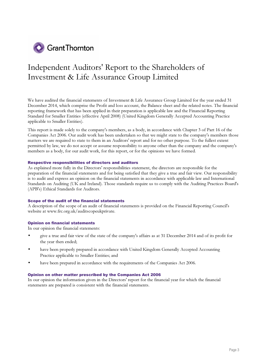

## Independent Auditors' Report to the Shareholders of Investment & Life Assurance Group Limited

We have audited the financial statements of Investment & Life Assurance Group Limited for the year ended 31 December 2014, which comprise the Profit and loss account, the Balance sheet and the related notes. The financial reporting framework that has been applied in their preparation is applicable law and the Financial Reporting Standard for Smaller Entities (effective April 2008) (United Kingdom Generally Accepted Accounting Practice applicable to Smaller Entities).

This report is made solely to the company's members, as a body, in accordance with Chapter 3 of Part 16 of the Companies Act 2006. Our audit work has been undertaken so that we might state to the company's members those matters we are required to state to them in an Auditors' report and for no other purpose. To the fullest extent permitted by law, we do not accept or assume responsibility to anyone other than the company and the company's members as a body, for our audit work, for this report, or for the opinions we have formed.

#### Respective responsibilities of directors and auditors

As explained more fully in the Directors' responsibilities statement, the directors are responsible for the preparation of the financial statements and for being satisfied that they give a true and fair view. Our responsibility is to audit and express an opinion on the financial statements in accordance with applicable law and International Standards on Auditing (UK and Ireland). Those standards require us to comply with the Auditing Practices Board's (APB's) Ethical Standards for Auditors.

#### Scope of the audit of the financial statements

A description of the scope of an audit of financial statements is provided on the Financial Reporting Council's website at www.frc.org.uk/auditscopeukprivate.

#### Opinion on financial statements

In our opinion the financial statements:

- give a true and fair view of the state of the company's affairs as at 31 December 2014 and of its profit for the year then ended;
- have been properly prepared in accordance with United Kingdom Generally Accepted Accounting Practice applicable to Smaller Entities; and
- have been prepared in accordance with the requirements of the Companies Act 2006.

#### Opinion on other matter prescribed by the Companies Act 2006

In our opinion the information given in the Directors' report for the financial year for which the financial statements are prepared is consistent with the financial statements.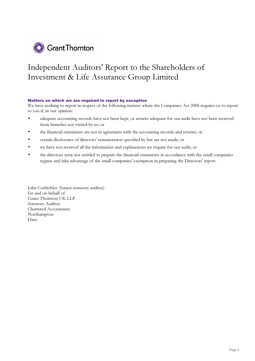

## Independent Auditors' Report to the Shareholders of Investment & Life Assurance Group Limited

#### Matters on which we are required to report by exception

We have nothing to report in respect of the following matters where the Companies Act 2006 requires us to report to you if, in our opinion:

- adequate accounting records have not been kept, or returns adequate for our audit have not been received from branches not visited by us; or
- the financial statements are not in agreement with the accounting records and returns; or Ī
- certain disclosures of directors' remuneration specified by law are not made; or Ī
- we have not received all the information and explanations we require for our audit; or
- the directors were not entitled to prepare the financial statements in accordance with the small companies regime and take advantage of the small companies' exemption in preparing the Directors' report.

John Corbishley (Senior statutory auditor) for and on behalf of Grant Thornton UK LLP Statutory Auditor Chartered Accountants Northampton Date: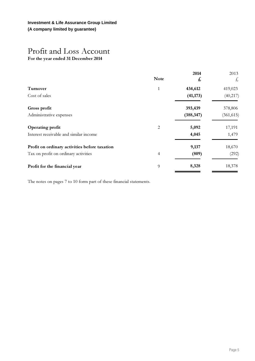## Profit and Loss Account For the year ended 31 December 2014

|                                               | <b>Note</b>  | 2014<br>£, | 2013<br>£  |
|-----------------------------------------------|--------------|------------|------------|
| Turnover                                      | $\mathbf{1}$ | 434,612    | 419,023    |
| Cost of sales                                 |              | (41, 173)  | (40, 217)  |
| Gross profit                                  |              | 393,439    | 378,806    |
| Administrative expenses                       |              | (388, 347) | (361, 615) |
| <b>Operating profit</b>                       | 2            | 5,092      | 17,191     |
| Interest receivable and similar income        |              | 4,045      | 1,479      |
| Profit on ordinary activities before taxation |              | 9,137      | 18,670     |
| Tax on profit on ordinary activities          | 4            | (809)      | (292)      |
| Profit for the financial year                 | 9            | 8,328      | 18,378     |

The notes on pages 7 to 10 form part of these financial statements.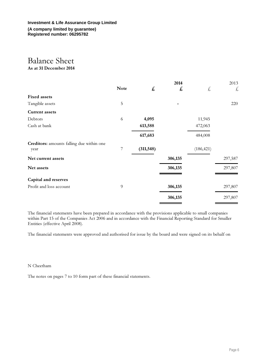#### **Investment & Life Assurance Group Limited (A company limited by guarantee) Registered number: 06295782**

## Balance Sheet

As at 31 December 2014

|                                           |                  |            | 2014    |            | 2013    |
|-------------------------------------------|------------------|------------|---------|------------|---------|
|                                           | <b>Note</b>      | £          | £       | £          | £       |
| <b>Fixed assets</b>                       |                  |            |         |            |         |
| Tangible assets                           | 5                |            |         |            | 220     |
| <b>Current assets</b>                     |                  |            |         |            |         |
| Debtors                                   | 6                | 4,095      |         | 11,945     |         |
| Cash at bank                              |                  | 613,588    |         | 472,063    |         |
|                                           |                  | 617,683    |         | 484,008    |         |
| Creditors: amounts falling due within one |                  |            |         |            |         |
| year                                      | $\boldsymbol{7}$ | (311, 548) |         | (186, 421) |         |
| Net current assets                        |                  |            | 306,135 |            | 297,587 |
| Net assets                                |                  |            | 306,135 |            | 297,807 |
| <b>Capital and reserves</b>               |                  |            |         |            |         |
| Profit and loss account                   | 9                |            | 306,135 |            | 297,807 |
|                                           |                  |            | 306,135 |            | 297,807 |
|                                           |                  |            |         |            |         |

The financial statements have been prepared in accordance with the provisions applicable to small companies within Part 15 of the Companies Act 2006 and in accordance with the Financial Reporting Standard for Smaller Entities (effective April 2008).

The financial statements were approved and authorised for issue by the board and were signed on its behalf on

#### N Cheetham

The notes on pages 7 to 10 form part of these financial statements.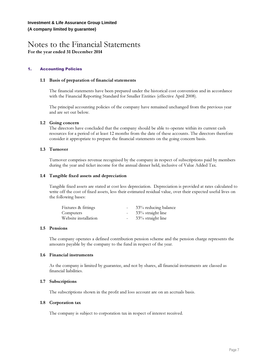### Notes to the Financial Statements For the year ended 31 December 2014

#### 1. Accounting Policies

#### 1.1 Basis of preparation of financial statements

The financial statements have been prepared under the historical cost convention and in accordance with the Financial Reporting Standard for Smaller Entities (effective April 2008).

The principal accounting policies of the company have remained unchanged from the previous year and are set out below.

#### 1.2 Going concern

The directors have concluded that the company should be able to operate within its current cash resources for a period of at least 12 months from the date of these accounts. The directors therefore consider it appropriate to prepare the financial statements on the going concern basis.

#### 1.3 Turnover

Turnover comprises revenue recognised by the company in respect of subscriptions paid by members during the year and ticket income for the annual dinner held, inclusive of Value Added Tax.

#### 1.4 Tangible fixed assets and depreciation

Tangible fixed assets are stated at cost less depreciation. Depreciation is provided at rates calculated to write off the cost of fixed assets, less their estimated residual value, over their expected useful lives on the following bases:

| Fixtures & fittings  | $\sim$ | 33% reducing balance |
|----------------------|--------|----------------------|
| Computers            | $\sim$ | 33% straight line    |
| Website installation | $\sim$ | 33% straight line    |

#### 1.5 Pensions

The company operates a defined contribution pension scheme and the pension charge represents the amounts payable by the company to the fund in respect of the year.

#### 1.6 Financial instruments

As the company is limited by guarantee, and not by shares, all financial instruments are classed as financial liabilities.

#### 1.7 Subscriptions

The subscriptions shown in the profit and loss account are on an accruals basis.

#### 1.8 Corporation tax

The company is subject to corporation tax in respect of interest received.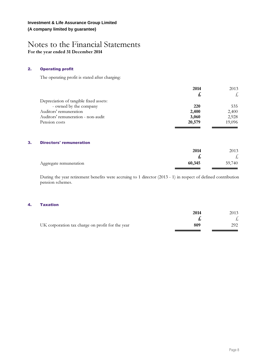### Notes to the Financial Statements For the year ended 31 December 2014

#### 2. Operating profit

The operating profit is stated after charging:

|                                        | 2014   | 2013   |
|----------------------------------------|--------|--------|
|                                        |        |        |
| Depreciation of tangible fixed assets: |        |        |
| - owned by the company                 | 220    | 535    |
| Auditors' remuneration                 | 2,400  | 2,400  |
| Auditors' remuneration - non-audit     | 3,060  | 2,928  |
| Pension costs                          | 20,579 | 19,096 |

#### 3. Directors' remuneration

|                        | 2014   | 2013    |
|------------------------|--------|---------|
|                        | た      | $\star$ |
| Aggregate remuneration | 60,345 | 59,740  |

During the year retirement benefits were accruing to 1 director (2013 - 1) in respect of defined contribution pension schemes.

#### 4. Taxation

|                                                  | 2014 | 2013 |
|--------------------------------------------------|------|------|
|                                                  |      |      |
| UK corporation tax charge on profit for the year | 809  | 292  |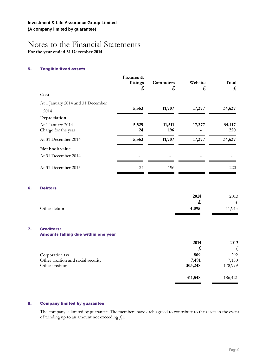### Notes to the Financial Statements For the year ended 31 December 2014

#### 5. Tangible fixed assets

| Cost                              | Fixtures &<br>fittings<br>£ | Computers<br>£ | Website<br>£ | Total<br>£ |
|-----------------------------------|-----------------------------|----------------|--------------|------------|
|                                   |                             |                |              |            |
| At 1 January 2014 and 31 December |                             |                |              |            |
| 2014                              | 5,553                       | 11,707         | 17,377       | 34,637     |
| Depreciation                      |                             |                |              |            |
| At 1 January 2014                 | 5,529                       | 11,511         | 17,377       | 34,417     |
| Charge for the year               | 24                          | 196            |              | 220        |
| At 31 December 2014               | 5,553                       | 11,707         | 17,377       | 34,637     |
| Net book value                    |                             |                |              |            |
| At 31 December 2014               |                             |                |              |            |
| At 31 December 2013               | 24                          | 196            |              | 220        |
|                                   |                             |                |              |            |

#### 6. Debtors

|               | 2014  | 2013                                |
|---------------|-------|-------------------------------------|
|               | た     | $\curvearrowright$<br>$\frac{1}{2}$ |
| Other debtors | 4,095 | 11,945                              |

#### 7. Creditors:

#### Amounts falling due within one year

|                                    | 2014    | 2013    |
|------------------------------------|---------|---------|
|                                    | 圡       | £       |
| Corporation tax                    | 809     | 292     |
| Other taxation and social security | 7,491   | 7,150   |
| Other creditors                    | 303,248 | 178,979 |
|                                    | 311,548 | 186,421 |

#### 8. Company limited by guarantee

The company is limited by guarantee. The members have each agreed to contribute to the assets in the event of winding up to an amount not exceeding  $f_{\perp}$ 1.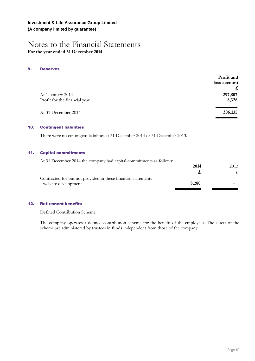### Notes to the Financial Statements For the year ended 31 December 2014

#### 9. Reserves

|                               | Profit and   |
|-------------------------------|--------------|
|                               | loss account |
|                               | £            |
| At 1 January 2014             | 297,807      |
| Profit for the financial year | 8,328        |
| At 31 December 2014           | 306,135      |
|                               |              |

#### 10. Contingent liabilities

There were no contingent liabilities at 31 December 2014 or 31 December 2013.

#### 11. Capital commitments

At 31 December 2014 the company had capital commitments as follows:

|                                                                 | 2014  | 2013 |
|-----------------------------------------------------------------|-------|------|
|                                                                 |       |      |
| Contracted for but not provided in these financial statements - |       |      |
| website development                                             | 8,280 |      |

#### 12. Retirement benefits

Defined Contribution Scheme

The company operates a defined contribution scheme for the benefit of the employees. The assets of the scheme are administered by trustees in funds independent from those of the company.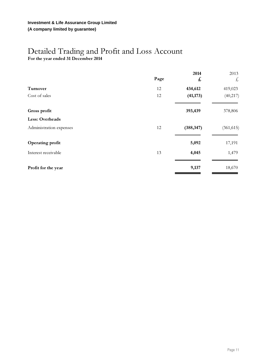### Detailed Trading and Profit and Loss Account For the year ended 31 December 2014

|                         | Page | 2014<br>£  | 2013<br>£  |
|-------------------------|------|------------|------------|
| Turnover                | 12   | 434,612    | 419,023    |
| Cost of sales           | 12   | (41, 173)  | (40, 217)  |
| Gross profit            |      | 393,439    | 378,806    |
| Less: Overheads         |      |            |            |
| Administration expenses | 12   | (388, 347) | (361, 615) |
| <b>Operating profit</b> |      | 5,092      | 17,191     |
| Interest receivable     | 13   | 4,045      | 1,479      |
| Profit for the year     |      | 9,137      | 18,670     |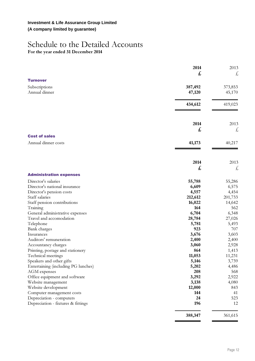## Schedule to the Detailed Accounts

For the year ended 31 December 2014

|                                     | 2014    | 2013    |
|-------------------------------------|---------|---------|
|                                     | £       | £       |
| <b>Turnover</b>                     |         |         |
| Subscriptions                       | 387,492 | 373,853 |
| Annual dinner                       | 47,120  | 45,170  |
|                                     |         |         |
|                                     | 434,612 | 419,023 |
|                                     |         |         |
|                                     | 2014    | 2013    |
|                                     | £       | £       |
| <b>Cost of sales</b>                |         |         |
|                                     |         |         |
| Annual dinner costs                 | 41,173  | 40,217  |
|                                     | 2014    | 2013    |
|                                     | £       | £       |
|                                     |         |         |
| <b>Administration expenses</b>      |         |         |
| Director's salaries                 | 55,788  | 55,286  |
| Director's national insurance       | 6,609   | 6,575   |
| Director's pension costs            | 4,557   | 4,454   |
| Staff salaries                      | 212,612 | 201,733 |
| Staff pension contributions         | 16,022  | 14,642  |
| Training                            | 164     | 562     |
| General administrative expenses     | 6,704   | 6,348   |
| Travel and accomodation             | 28,784  | 27,026  |
| Telephone                           | 5,781   | 5,493   |
| Bank charges                        | 923     | 707     |
| Insurances                          | 3,676   | 3,603   |
| Auditors' remuneration              | 2,400   | 2,400   |
| Accountancy charges                 | 3,060   | 2,928   |
| Printing, postage and stationery    | 864     | 1,413   |
| Technical meetings                  | 11,053  | 11,231  |
| Speakers and other gifts            | 5,146   | 3,739   |
| Entertaining (including PG lunches) | 5,202   | 4,486   |
| AGM expenses                        | 208     | 568     |
| Office equipment and software       | 3,292   | 2,922   |
| Website management                  | 3,138   | 4,080   |
| Website development                 | 12,000  | 843     |
| Computer management costs           | 144     | 41      |
| Depreciation - computers            | 24      | 523     |
| Depreciation - fixtures & fittings  | 196     | 12      |
|                                     | 388,347 | 361,615 |